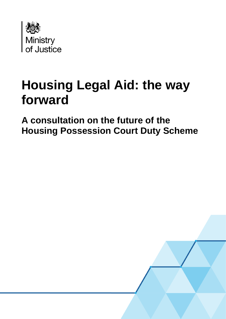

# **Housing Legal Aid: the way forward**

**A consultation on the future of the Housing Possession Court Duty Scheme**

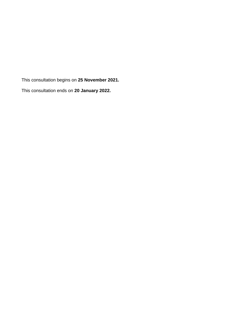This consultation begins on **25 November 2021.**

This consultation ends on **20 January 2022.**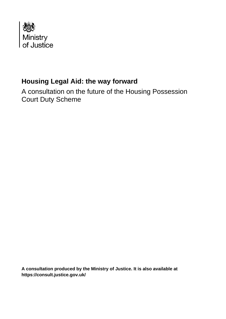

### **Housing Legal Aid: the way forward**

A consultation on the future of the Housing Possession Court Duty Scheme

**A consultation produced by the Ministry of Justice. It is also available at <https://consult.justice.gov.uk/>**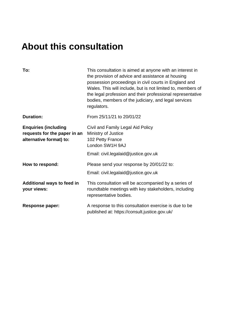## **About this consultation**

| To:                                                                                    | This consultation is aimed at anyone with an interest in<br>the provision of advice and assistance at housing<br>possession proceedings in civil courts in England and<br>Wales. This will include, but is not limited to, members of<br>the legal profession and their professional representative<br>bodies, members of the judiciary, and legal services<br>regulators. |
|----------------------------------------------------------------------------------------|----------------------------------------------------------------------------------------------------------------------------------------------------------------------------------------------------------------------------------------------------------------------------------------------------------------------------------------------------------------------------|
| <b>Duration:</b>                                                                       | From 25/11/21 to 20/01/22                                                                                                                                                                                                                                                                                                                                                  |
| <b>Enquiries (including</b><br>requests for the paper in an<br>alternative format) to: | Civil and Family Legal Aid Policy<br>Ministry of Justice<br>102 Petty France<br>London SW1H 9AJ                                                                                                                                                                                                                                                                            |
|                                                                                        | Email: civil.legalaid@justice.gov.uk                                                                                                                                                                                                                                                                                                                                       |
| How to respond:                                                                        | Please send your response by 20/01/22 to:<br>Email: civil.legalaid@justice.gov.uk                                                                                                                                                                                                                                                                                          |
| Additional ways to feed in<br>your views:                                              | This consultation will be accompanied by a series of<br>roundtable meetings with key stakeholders, including<br>representative bodies.                                                                                                                                                                                                                                     |
| <b>Response paper:</b>                                                                 | A response to this consultation exercise is due to be<br>published at: https://consult.justice.gov.uk/                                                                                                                                                                                                                                                                     |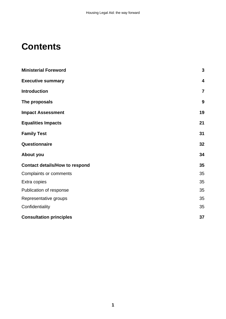## **Contents**

| <b>Ministerial Foreword</b>           | $\overline{3}$          |
|---------------------------------------|-------------------------|
| <b>Executive summary</b>              | $\overline{\mathbf{4}}$ |
| <b>Introduction</b>                   | $\overline{7}$          |
| The proposals                         | 9                       |
| <b>Impact Assessment</b>              | 19                      |
| <b>Equalities Impacts</b>             | 21                      |
| <b>Family Test</b>                    | 31                      |
| Questionnaire                         | 32                      |
| About you                             | 34                      |
| <b>Contact details/How to respond</b> | 35                      |
| Complaints or comments                | 35                      |
| Extra copies                          | 35                      |
| Publication of response               | 35                      |
| Representative groups                 | 35                      |
| Confidentiality                       | 35                      |
| <b>Consultation principles</b>        | 37                      |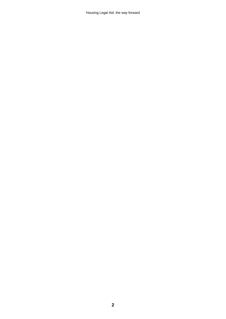Housing Legal Aid: the way forward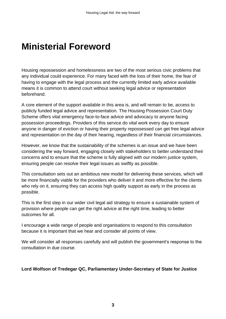## <span id="page-7-0"></span>**Ministerial Foreword**

Housing repossession and homelessness are two of the most serious civic problems that any individual could experience. For many faced with the loss of their home, the fear of having to engage with the legal process and the currently limited early advice available means it is common to attend court without seeking legal advice or representation beforehand.

A core element of the support available in this area is, and will remain to be, access to publicly funded legal advice and representation. The Housing Possession Court Duty Scheme offers vital emergency face-to-face advice and advocacy to anyone facing possession proceedings. Providers of this service do vital work every day to ensure anyone in danger of eviction or having their property repossessed can get free legal advice and representation on the day of their hearing, regardless of their financial circumstances.

However, we know that the sustainability of the schemes is an issue and we have been considering the way forward, engaging closely with stakeholders to better understand their concerns and to ensure that the scheme is fully aligned with our modern justice system, ensuring people can resolve their legal issues as swiftly as possible.

This consultation sets out an ambitious new model for delivering these services, which will be more financially viable for the providers who deliver it and more effective for the clients who rely on it, ensuring they can access high quality support as early in the process as possible.

This is the first step in our wider civil legal aid strategy to ensure a sustainable system of provision where people can get the right advice at the right time, leading to better outcomes for all.

I encourage a wide range of people and organisations to respond to this consultation because it is important that we hear and consider all points of view.

We will consider all responses carefully and will publish the government's response to the consultation in due course.

#### **Lord Wolfson of Tredegar QC, Parliamentary Under-Secretary of State for Justice**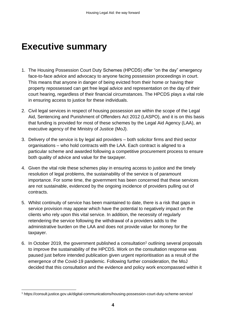### <span id="page-8-0"></span>**Executive summary**

- 1. The Housing Possession Court Duty Schemes (HPCDS) offer "on the day" emergency face-to-face advice and advocacy to anyone facing possession proceedings in court. This means that anyone in danger of being evicted from their home or having their property repossessed can get free legal advice and representation on the day of their court hearing, regardless of their financial circumstances. The HPCDS plays a vital role in ensuring access to justice for these individuals.
- 2. Civil legal services in respect of housing possession are within the scope of the Legal Aid, Sentencing and Punishment of Offenders Act 2012 (LASPO), and it is on this basis that funding is provided for most of these schemes by the Legal Aid Agency (LAA), an executive agency of the Ministry of Justice (MoJ).
- 3. Delivery of the service is by legal aid providers both solicitor firms and third sector organisations – who hold contracts with the LAA. Each contract is aligned to a particular scheme and awarded following a competitive procurement process to ensure both quality of advice and value for the taxpayer.
- 4. Given the vital role these schemes play in ensuring access to justice and the timely resolution of legal problems, the sustainability of the service is of paramount importance. For some time, the government has been concerned that these services are not sustainable, evidenced by the ongoing incidence of providers pulling out of contracts.
- 5. Whilst continuity of service has been maintained to date, there is a risk that gaps in service provision may appear which have the potential to negatively impact on the clients who rely upon this vital service. In addition, the necessity of regularly retendering the service following the withdrawal of a providers adds to the administrative burden on the LAA and does not provide value for money for the taxpayer.
- 6. In October 2019, the government published a consultation<sup>1</sup> outlining several proposals to improve the sustainability of the HPCDS. Work on the consultation response was paused just before intended publication given urgent reprioritisation as a result of the emergence of the Covid-19 pandemic. Following further consideration, the MoJ decided that this consultation and the evidence and policy work encompassed within it

 $\overline{a}$ 

<sup>1</sup> https://consult.justice.gov.uk/digital-communications/housing-possession-court-duty-scheme-service/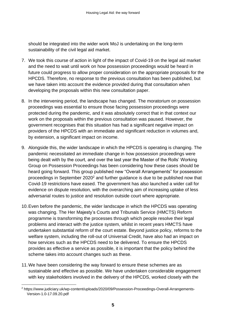should be integrated into the wider work MoJ is undertaking on the long-term sustainability of the civil legal aid market.

- 7. We took this course of action in light of the impact of Covid-19 on the legal aid market and the need to wait until work on how possession proceedings would be heard in future could progress to allow proper consideration on the appropriate proposals for the HPCDS. Therefore, no response to the previous consultation has been published, but we have taken into account the evidence provided during that consultation when developing the proposals within this new consultation paper.
- 8. In the intervening period, the landscape has changed. The moratorium on possession proceedings was essential to ensure those facing possession proceedings were protected during the pandemic, and it was absolutely correct that in that context our work on the proposals within the previous consultation was paused. However, the government recognises that this situation has had a significant negative impact on providers of the HPCDS with an immediate and significant reduction in volumes and, by extension, a significant impact on income.
- 9. Alongside this, the wider landscape in which the HPCDS is operating is changing. The pandemic necessitated an immediate change in how possession proceedings were being dealt with by the court, and over the last year the Master of the Rolls' Working Group on Possession Proceedings has been considering how these cases should be heard going forward. This group published new "Overall Arrangements" for possession proceedings in September 2020<sup>2</sup> and further guidance is due to be published now that Covid-19 restrictions have eased. The government has also launched a wider call for evidence on dispute resolution, with the overarching aim of increasing uptake of less adversarial routes to justice and resolution outside court where appropriate.
- 10.Even before the pandemic, the wider landscape in which the HPCDS was operating was changing. The Her Majesty's Courts and Tribunals Service (HMCTS) Reform programme is transforming the processes through which people resolve their legal problems and interact with the justice system, whilst in recent years HMCTS have undertaken substantial reform of the court estate. Beyond justice policy, reforms to the welfare system, including the roll-out of Universal Credit, have also had an impact on how services such as the HPCDS need to be delivered. To ensure the HPCDS provides as effective a service as possible, it is important that the policy behind the scheme takes into account changes such as these.
- 11.We have been considering the way forward to ensure these schemes are as sustainable and effective as possible. We have undertaken considerable engagement with key stakeholders involved in the delivery of the HPCDS, worked closely with the

 $\overline{a}$ <sup>2</sup> https://www.judiciary.uk/wp-content/uploads/2020/09/Possession-Proceedings-Overall-Arrangements-Version-1.0-17.09.20.pdf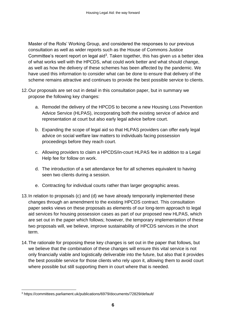Master of the Rolls' Working Group, and considered the responses to our previous consultation as well as wider reports such as the House of Commons Justice Committee's recent report on legal aid<sup>3</sup>. Taken together, this has given us a better idea of what works well with the HPCDS, what could work better and what should change, as well as how the delivery of these schemes has been affected by the pandemic. We have used this information to consider what can be done to ensure that delivery of the scheme remains attractive and continues to provide the best possible service to clients.

- 12.Our proposals are set out in detail in this consultation paper, but in summary we propose the following key changes:
	- a. Remodel the delivery of the HPCDS to become a new Housing Loss Prevention Advice Service (HLPAS), incorporating both the existing service of advice and representation at court but also early legal advice before court.
	- b. Expanding the scope of legal aid so that HLPAS providers can offer early legal advice on social welfare law matters to individuals facing possession proceedings before they reach court.
	- c. Allowing providers to claim a HPCDS/in-court HLPAS fee in addition to a Legal Help fee for follow on work.
	- d. The introduction of a set attendance fee for all schemes equivalent to having seen two clients during a session.
	- e. Contracting for individual courts rather than larger geographic areas.
- 13.In relation to proposals (c) and (d) we have already temporarily implemented these changes through an amendment to the existing HPCDS contract. This consultation paper seeks views on these proposals as elements of our long-term approach to legal aid services for housing possession cases as part of our proposed new HLPAS, which are set out in the paper which follows; however, the temporary implementation of these two proposals will, we believe, improve sustainability of HPCDS services in the short term.
- 14.The rationale for proposing these key changes is set out in the paper that follows, but we believe that the combination of these changes will ensure this vital service is not only financially viable and logistically deliverable into the future, but also that it provides the best possible service for those clients who rely upon it, allowing them to avoid court where possible but still supporting them in court where that is needed.

 $\overline{a}$ 

<sup>3</sup> https://committees.parliament.uk/publications/6979/documents/72829/default/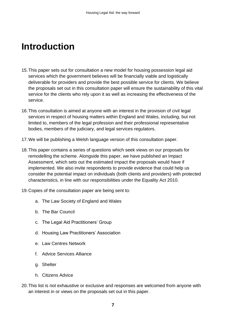## <span id="page-11-0"></span>**Introduction**

- 15.This paper sets out for consultation a new model for housing possession legal aid services which the government believes will be financially viable and logistically deliverable for providers and provide the best possible service for clients. We believe the proposals set out in this consultation paper will ensure the sustainability of this vital service for the clients who rely upon it as well as increasing the effectiveness of the service.
- 16.This consultation is aimed at anyone with an interest in the provision of civil legal services in respect of housing matters within England and Wales, including, but not limited to, members of the legal profession and their professional representative bodies, members of the judiciary, and legal services regulators.
- 17.We will be publishing a Welsh language version of this consultation paper.
- 18.This paper contains a series of questions which seek views on our proposals for remodelling the scheme. Alongside this paper, we have published an Impact Assessment, which sets out the estimated impact the proposals would have if implemented. We also invite respondents to provide evidence that could help us consider the potential impact on individuals (both clients and providers) with protected characteristics, in line with our responsibilities under the Equality Act 2010.
- 19.Copies of the consultation paper are being sent to:
	- a. The Law Society of England and Wales
	- b. The Bar Council
	- c. The Legal Aid Practitioners' Group
	- d. Housing Law Practitioners' Association
	- e. Law Centres Network
	- f. Advice Services Alliance
	- g. Shelter
	- h. Citizens Advice
- 20.This list is not exhaustive or exclusive and responses are welcomed from anyone with an interest in or views on the proposals set out in this paper.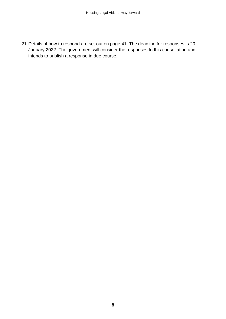21.Details of how to respond are set out on page 41. The deadline for responses is 20 January 2022. The government will consider the responses to this consultation and intends to publish a response in due course.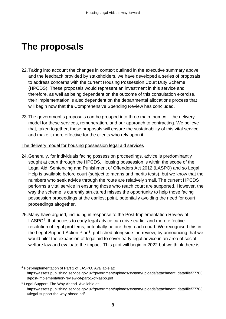## <span id="page-13-0"></span>**The proposals**

 $\overline{a}$ 

- 22.Taking into account the changes in context outlined in the executive summary above, and the feedback provided by stakeholders, we have developed a series of proposals to address concerns with the current Housing Possession Court Duty Scheme (HPCDS). These proposals would represent an investment in this service and therefore, as well as being dependent on the outcome of this consultation exercise, their implementation is also dependent on the departmental allocations process that will begin now that the Comprehensive Spending Review has concluded.
- 23.The government's proposals can be grouped into three main themes the delivery model for these services, remuneration, and our approach to contracting. We believe that, taken together, these proposals will ensure the sustainability of this vital service and make it more effective for the clients who rely upon it.

#### The delivery model for housing possession legal aid services

- 24.Generally, for individuals facing possession proceedings, advice is predominantly sought at court through the HPCDS. Housing possession is within the scope of the Legal Aid, Sentencing and Punishment of Offenders Act 2012 (LASPO) and so Legal Help is available before court (subject to means and merits tests), but we know that the numbers who seek advice through the route are relatively small. The current HPCDS performs a vital service in ensuring those who reach court are supported. However, the way the scheme is currently structured misses the opportunity to help those facing possession proceedings at the earliest point, potentially avoiding the need for court proceedings altogether.
- 25.Many have argued, including in response to the Post-Implementation Review of LASPO<sup>4</sup>, that access to early legal advice can drive earlier and more effective resolution of legal problems, potentially before they reach court. We recognised this in the Legal Support Action Plan<sup>5</sup>, published alongside the review, by announcing that we would pilot the expansion of legal aid to cover early legal advice in an area of social welfare law and evaluate the impact. This pilot will begin in 2022 but we think there is

<sup>4</sup> Post-Implementation of Part 1 of LASPO. Available at: https://assets.publishing.service.gov.uk/government/uploads/system/uploads/attachment\_data/file/77703 8/post-implementation-review-of-part-1-of-laspo.pdf

<sup>&</sup>lt;sup>5</sup> Legal Support: The Way Ahead. Available at: https://assets.publishing.service.gov.uk/government/uploads/system/uploads/attachment\_data/file/77703 6/legal-support-the-way-ahead.pdf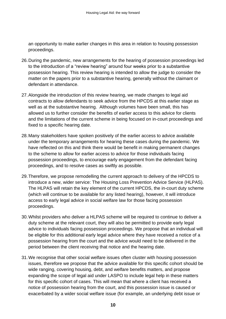an opportunity to make earlier changes in this area in relation to housing possession proceedings.

- 26.During the pandemic, new arrangements for the hearing of possession proceedings led to the introduction of a "review hearing" around four weeks prior to a substantive possession hearing. This review hearing is intended to allow the judge to consider the matter on the papers prior to a substantive hearing, generally without the claimant or defendant in attendance.
- 27.Alongside the introduction of this review hearing, we made changes to legal aid contracts to allow defendants to seek advice from the HPCDS at this earlier stage as well as at the substantive hearing. Although volumes have been small, this has allowed us to further consider the benefits of earlier access to this advice for clients and the limitations of the current scheme in being focused on in-court proceedings and fixed to a specific hearing date.
- 28.Many stakeholders have spoken positively of the earlier access to advice available under the temporary arrangements for hearing these cases during the pandemic. We have reflected on this and think there would be benefit in making permanent changes to the scheme to allow for earlier access to advice for those individuals facing possession proceedings, to encourage early engagement from the defendant facing proceedings, and to resolve cases as swiftly as possible.
- 29.Therefore, we propose remodelling the current approach to delivery of the HPCDS to introduce a new, wider service: The Housing Loss Prevention Advice Service (HLPAS). The HLPAS will retain the key element of the current HPCDS, the in-court duty scheme (which will continue to be available for any listed hearing), however, it will introduce access to early legal advice in social welfare law for those facing possession proceedings.
- 30.Whilst providers who deliver a HLPAS scheme will be required to continue to deliver a duty scheme at the relevant court, they will also be permitted to provide early legal advice to individuals facing possession proceedings. We propose that an individual will be eligible for this additional early legal advice where they have received a notice of a possession hearing from the court and the advice would need to be delivered in the period between the client receiving that notice and the hearing date.
- 31.We recognise that other social welfare issues often cluster with housing possession issues, therefore we propose that the advice available for this specific cohort should be wide ranging, covering housing, debt, and welfare benefits matters, and propose expanding the scope of legal aid under LASPO to include legal help in these matters for this specific cohort of cases. This will mean that where a client has received a notice of possession hearing from the court, and this possession issue is caused or exacerbated by a wider social welfare issue (for example, an underlying debt issue or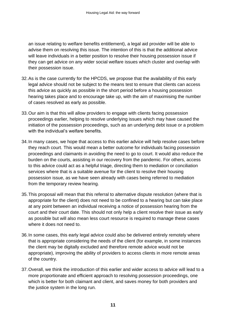an issue relating to welfare benefits entitlement), a legal aid provider will be able to advise them on resolving this issue. The intention of this is that the additional advice will leave individuals in a better position to resolve their housing possession issue if they can get advice on any wider social welfare issues which cluster and overlap with their possession issue.

- 32.As is the case currently for the HPCDS, we propose that the availability of this early legal advice should not be subject to the means test to ensure that clients can access this advice as quickly as possible in the short period before a housing possession hearing takes place and to encourage take up, with the aim of maximising the number of cases resolved as early as possible.
- 33.Our aim is that this will allow providers to engage with clients facing possession proceedings earlier, helping to resolve underlying issues which may have caused the initiation of the possession proceedings, such as an underlying debt issue or a problem with the individual's welfare benefits.
- 34.In many cases, we hope that access to this earlier advice will help resolve cases before they reach court. This would mean a better outcome for individuals facing possession proceedings and claimants in avoiding the need to go to court. It would also reduce the burden on the courts, assisting in our recovery from the pandemic. For others, access to this advice could act as a helpful triage, directing them to mediation or conciliation services where that is a suitable avenue for the client to resolve their housing possession issue, as we have seen already with cases being referred to mediation from the temporary review hearing.
- 35.This proposal will mean that this referral to alternative dispute resolution (where that is appropriate for the client) does not need to be confined to a hearing but can take place at any point between an individual receiving a notice of possession hearing from the court and their court date. This should not only help a client resolve their issue as early as possible but will also mean less court resource is required to manage these cases where it does not need to.
- 36.In some cases, this early legal advice could also be delivered entirely remotely where that is appropriate considering the needs of the client (for example, in some instances the client may be digitally excluded and therefore remote advice would not be appropriate), improving the ability of providers to access clients in more remote areas of the country.
- 37.Overall, we think the introduction of this earlier and wider access to advice will lead to a more proportionate and efficient approach to resolving possession proceedings, one which is better for both claimant and client, and saves money for both providers and the justice system in the long run.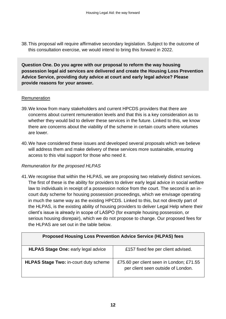38.This proposal will require affirmative secondary legislation. Subject to the outcome of this consultation exercise, we would intend to bring this forward in 2022.

**Question One. Do you agree with our proposal to reform the way housing possession legal aid services are delivered and create the Housing Loss Prevention Advice Service, providing duty advice at court and early legal advice? Please provide reasons for your answer.**

#### Remuneration

- 39.We know from many stakeholders and current HPCDS providers that there are concerns about current remuneration levels and that this is a key consideration as to whether they would bid to deliver these services in the future. Linked to this, we know there are concerns about the viability of the scheme in certain courts where volumes are lower.
- 40.We have considered these issues and developed several proposals which we believe will address them and make delivery of these services more sustainable, ensuring access to this vital support for those who need it.

#### *Remuneration for the proposed HLPAS*

41.We recognise that within the HLPAS, we are proposing two relatively distinct services. The first of these is the ability for providers to deliver early legal advice in social welfare law to individuals in receipt of a possession notice from the court. The second is an incourt duty scheme for housing possession proceedings, which we envisage operating in much the same way as the existing HPCDS. Linked to this, but not directly part of the HLPAS, is the existing ability of housing providers to deliver Legal Help where their client's issue is already in scope of LASPO (for example housing possession, or serious housing disrepair), which we do not propose to change. Our proposed fees for the HLPAS are set out in the table below.

| <b>Proposed Housing Loss Prevention Advice Service (HLPAS) fees</b> |                                                                                |  |  |  |
|---------------------------------------------------------------------|--------------------------------------------------------------------------------|--|--|--|
| <b>HLPAS Stage One: early legal advice</b>                          | £157 fixed fee per client advised.                                             |  |  |  |
| <b>HLPAS Stage Two: in-court duty scheme</b>                        | £75.60 per client seen in London; £71.55<br>per client seen outside of London. |  |  |  |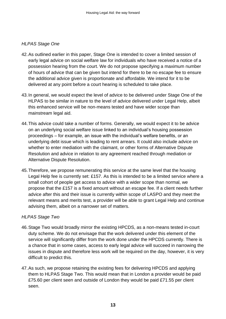#### *HLPAS Stage One*

- 42.As outlined earlier in this paper, Stage One is intended to cover a limited session of early legal advice on social welfare law for individuals who have received a notice of a possession hearing from the court. We do not propose specifying a maximum number of hours of advice that can be given but intend for there to be no escape fee to ensure the additional advice given is proportionate and affordable. We intend for it to be delivered at any point before a court hearing is scheduled to take place.
- 43.In general, we would expect the level of advice to be delivered under Stage One of the HLPAS to be similar in nature to the level of advice delivered under Legal Help, albeit this enhanced service will be non-means tested and have wider scope than mainstream legal aid.
- 44.This advice could take a number of forms. Generally, we would expect it to be advice on an underlying social welfare issue linked to an individual's housing possession proceedings – for example, an issue with the individual's welfare benefits, or an underlying debt issue which is leading to rent arrears. It could also include advice on whether to enter mediation with the claimant, or other forms of Alternative Dispute Resolution and advice in relation to any agreement reached through mediation or Alternative Dispute Resolution.
- 45.Therefore, we propose remunerating this service at the same level that the housing Legal Help fee is currently set: £157. As this is intended to be a limited service where a small cohort of people get access to advice with a wider scope than normal, we propose that the £157 is a fixed amount without an escape fee. If a client needs further advice after this and their issue is currently within scope of LASPO and they meet the relevant means and merits test, a provider will be able to grant Legal Help and continue advising them, albeit on a narrower set of matters.

#### *HLPAS Stage Two*

- 46.Stage Two would broadly mirror the existing HPCDS, as a non-means tested in-court duty scheme. We do not envisage that the work delivered under this element of the service will significantly differ from the work done under the HPCDS currently. There is a chance that in some cases, access to early legal advice will succeed in narrowing the issues in dispute and therefore less work will be required on the day, however, it is very difficult to predict this.
- 47.As such, we propose retaining the existing fees for delivering HPCDS and applying them to HLPAS Stage Two. This would mean that in London a provider would be paid £75.60 per client seen and outside of London they would be paid £71.55 per client seen.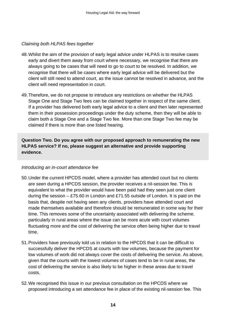#### *Claiming both HLPAS fees together*

- 48.Whilst the aim of the provision of early legal advice under HLPAS is to resolve cases early and divert them away from court where necessary, we recognise that there are always going to be cases that will need to go to court to be resolved. In addition, we recognise that there will be cases where early legal advice will be delivered but the client will still need to attend court, as the issue cannot be resolved in advance, and the client will need representation in court.
- 49.Therefore, we do not propose to introduce any restrictions on whether the HLPAS Stage One and Stage Two fees can be claimed together in respect of the same client. If a provider has delivered both early legal advice to a client and then later represented them in their possession proceedings under the duty scheme, then they will be able to claim both a Stage One and a Stage Two fee. More than one Stage Two fee may be claimed if there is more than one listed hearing.

#### **Question Two. Do you agree with our proposed approach to remunerating the new HLPAS service? If no, please suggest an alternative and provide supporting evidence.**

#### *Introducing an in-court attendance fee*

- 50.Under the current HPCDS model, where a provider has attended court but no clients are seen during a HPCDS session, the provider receives a nil-session fee. This is equivalent to what the provider would have been paid had they seen just one client during the session – £75.60 in London and £71.55 outside of London. It is paid on the basis that, despite not having seen any clients, providers have attended court and made themselves available and therefore should be remunerated in some way for their time. This removes some of the uncertainty associated with delivering the scheme, particularly in rural areas where the issue can be more acute with court volumes fluctuating more and the cost of delivering the service often being higher due to travel time.
- 51.Providers have previously told us in relation to the HPCDS that it can be difficult to successfully deliver the HPCDS at courts with low volumes, because the payment for low volumes of work did not always cover the costs of delivering the service. As above, given that the courts with the lowest volumes of cases tend to be in rural areas, the cost of delivering the service is also likely to be higher in these areas due to travel costs.
- 52.We recognised this issue in our previous consultation on the HPCDS where we proposed introducing a set attendance fee in place of the existing nil-session fee. This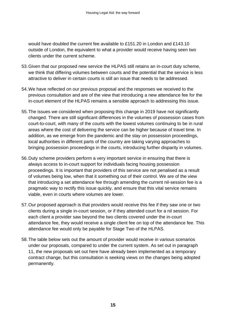would have doubled the current fee available to £151.20 in London and £143.10 outside of London, the equivalent to what a provider would receive having seen two clients under the current scheme.

- 53.Given that our proposed new service the HLPAS still retains an in-court duty scheme, we think that differing volumes between courts and the potential that the service is less attractive to deliver in certain courts is still an issue that needs to be addressed.
- 54.We have reflected on our previous proposal and the responses we received to the previous consultation and are of the view that introducing a new attendance fee for the in-court element of the HLPAS remains a sensible approach to addressing this issue.
- 55.The issues we considered when proposing this change in 2019 have not significantly changed. There are still significant differences in the volumes of possession cases from court-to-court, with many of the courts with the lowest volumes continuing to be in rural areas where the cost of delivering the service can be higher because of travel time. In addition, as we emerge from the pandemic and the stay on possession proceedings, local authorities in different parts of the country are taking varying approaches to bringing possession proceedings in the courts, introducing further disparity in volumes.
- 56.Duty scheme providers perform a very important service in ensuring that there is always access to in-court support for individuals facing housing possession proceedings. It is important that providers of this service are not penalised as a result of volumes being low, when that it something out of their control. We are of the view that introducing a set attendance fee through amending the current nil-session fee is a pragmatic way to rectify this issue quickly, and ensure that this vital service remains viable, even in courts where volumes are lower.
- 57.Our proposed approach is that providers would receive this fee if they saw one or two clients during a single in-court session, or if they attended court for a nil session. For each client a provider saw beyond the two clients covered under the in-court attendance fee, they would receive a single client fee on top of the attendance fee. This attendance fee would only be payable for Stage Two of the HLPAS.
- 58.The table below sets out the amount of provider would receive in various scenarios under our proposals, compared to under the current system. As set out in paragraph 11, the new proposals set out here have already been implemented as a temporary contract change, but this consultation is seeking views on the changes being adopted permanently.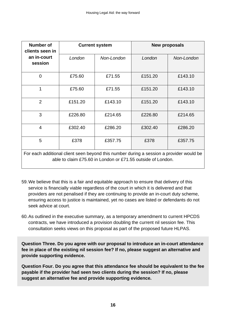| <b>Number of</b><br>clients seen in                                                                                                                    | <b>Current system</b> |            | <b>New proposals</b> |            |
|--------------------------------------------------------------------------------------------------------------------------------------------------------|-----------------------|------------|----------------------|------------|
| an in-court<br>session                                                                                                                                 | London                | Non-London | London               | Non-London |
| $\Omega$                                                                                                                                               | £75.60                | £71.55     | £151.20              | £143.10    |
| 1                                                                                                                                                      | £75.60                | £71.55     | £151.20              | £143.10    |
| $\overline{2}$                                                                                                                                         | £151.20               | £143.10    | £151.20              | £143.10    |
| 3                                                                                                                                                      | £226.80               | £214.65    | £226.80              | £214.65    |
| 4                                                                                                                                                      | £302.40               | £286.20    | £302.40              | £286.20    |
| 5                                                                                                                                                      | £378                  | £357.75    | £378                 | £357.75    |
| For each additional client seen beyond this number during a session a provider would be<br>able to claim £75.60 in London or £71.55 outside of London. |                       |            |                      |            |

- 59.We believe that this is a fair and equitable approach to ensure that delivery of this service is financially viable regardless of the court in which it is delivered and that providers are not penalised if they are continuing to provide an in-court duty scheme, ensuring access to justice is maintained, yet no cases are listed or defendants do not seek advice at court.
- 60.As outlined in the executive summary, as a temporary amendment to current HPCDS contracts, we have introduced a provision doubling the current nil session fee. This consultation seeks views on this proposal as part of the proposed future HLPAS.

**Question Three. Do you agree with our proposal to introduce an in-court attendance fee in place of the existing nil session fee? If no, please suggest an alternative and provide supporting evidence.**

**Question Four. Do you agree that this attendance fee should be equivalent to the fee payable if the provider had seen two clients during the session? If no, please suggest an alternative fee and provide supporting evidence.**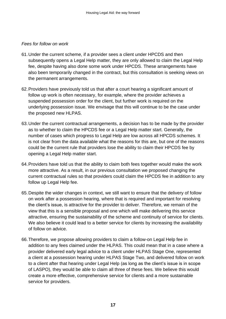#### *Fees for follow on work*

- 61.Under the current scheme, if a provider sees a client under HPCDS and then subsequently opens a Legal Help matter, they are only allowed to claim the Legal Help fee, despite having also done some work under HPCDS. These arrangements have also been temporarily changed in the contract, but this consultation is seeking views on the permanent arrangements.
- 62.Providers have previously told us that after a court hearing a significant amount of follow up work is often necessary, for example, where the provider achieves a suspended possession order for the client, but further work is required on the underlying possession issue. We envisage that this will continue to be the case under the proposed new HLPAS.
- 63.Under the current contractual arrangements, a decision has to be made by the provider as to whether to claim the HPCDS fee or a Legal Help matter start. Generally, the number of cases which progress to Legal Help are low across all HPCDS schemes. It is not clear from the data available what the reasons for this are, but one of the reasons could be the current rule that providers lose the ability to claim their HPCDS fee by opening a Legal Help matter start.
- 64.Providers have told us that the ability to claim both fees together would make the work more attractive. As a result, in our previous consultation we proposed changing the current contractual rules so that providers could claim the HPCDS fee in addition to any follow up Legal Help fee.
- 65.Despite the wider changes in context, we still want to ensure that the delivery of follow on work after a possession hearing, where that is required and important for resolving the client's issue, is attractive for the provider to deliver. Therefore, we remain of the view that this is a sensible proposal and one which will make delivering this service attractive, ensuring the sustainability of the scheme and continuity of service for clients. We also believe it could lead to a better service for clients by increasing the availability of follow on advice.
- 66.Therefore, we propose allowing providers to claim a follow-on Legal Help fee in addition to any fees claimed under the HLPAS. This could mean that in a case where a provider delivered early legal advice to a client under HLPAS Stage One, represented a client at a possession hearing under HLPAS Stage Two, and delivered follow on work to a client after that hearing under Legal Help (as long as the client's issue is in scope of LASPO), they would be able to claim all three of these fees. We believe this would create a more effective, comprehensive service for clients and a more sustainable service for providers.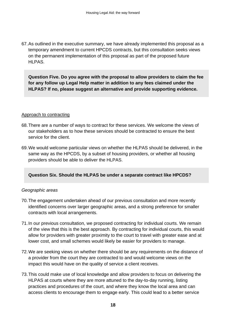67.As outlined in the executive summary, we have already implemented this proposal as a temporary amendment to current HPCDS contracts, but this consultation seeks views on the permanent implementation of this proposal as part of the proposed future HI PAS.

**Question Five. Do you agree with the proposal to allow providers to claim the fee for any follow up Legal Help matter in addition to any fees claimed under the HLPAS? If no, please suggest an alternative and provide supporting evidence.**

#### Approach to contracting

- 68.There are a number of ways to contract for these services. We welcome the views of our stakeholders as to how these services should be contracted to ensure the best service for the client.
- 69.We would welcome particular views on whether the HLPAS should be delivered, in the same way as the HPCDS, by a subset of housing providers, or whether all housing providers should be able to deliver the HLPAS.

#### **Question Six. Should the HLPAS be under a separate contract like HPCDS?**

#### *Geographic areas*

- 70.The engagement undertaken ahead of our previous consultation and more recently identified concerns over larger geographic areas, and a strong preference for smaller contracts with local arrangements.
- 71.In our previous consultation, we proposed contracting for individual courts. We remain of the view that this is the best approach. By contracting for individual courts, this would allow for providers with greater proximity to the court to travel with greater ease and at lower cost, and small schemes would likely be easier for providers to manage.
- 72.We are seeking views on whether there should be any requirements on the distance of a provider from the court they are contracted to and would welcome views on the impact this would have on the quality of service a client receives.
- 73.This could make use of local knowledge and allow providers to focus on delivering the HLPAS at courts where they are more attuned to the day-to-day running, listing practices and procedures of the court, and where they know the local area and can access clients to encourage them to engage early. This could lead to a better service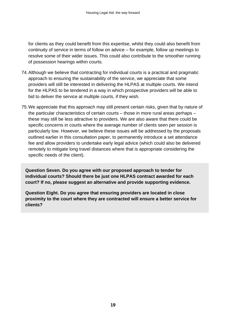for clients as they could benefit from this expertise, whilst they could also benefit from continuity of service in terms of follow on advice – for example, follow up meetings to resolve some of their wider issues. This could also contribute to the smoother running of possession hearings within courts.

- 74.Although we believe that contracting for individual courts is a practical and pragmatic approach to ensuring the sustainability of the service, we appreciate that some providers will still be interested in delivering the HLPAS at multiple courts. We intend for the HLPAS to be tendered in a way in which prospective providers will be able to bid to deliver the service at multiple courts, if they wish.
- 75.We appreciate that this approach may still present certain risks, given that by nature of the particular characteristics of certain courts – those in more rural areas perhaps – these may still be less attractive to providers. We are also aware that there could be specific concerns in courts where the average number of clients seen per session is particularly low. However, we believe these issues will be addressed by the proposals outlined earlier in this consultation paper, to permanently introduce a set attendance fee and allow providers to undertake early legal advice (which could also be delivered remotely to mitigate long travel distances where that is appropriate considering the specific needs of the client).

**Question Seven. Do you agree with our proposed approach to tender for individual courts? Should there be just one HLPAS contract awarded for each court? If no, please suggest an alternative and provide supporting evidence.**

<span id="page-23-0"></span>**Question Eight. Do you agree that ensuring providers are located in close proximity to the court where they are contracted will ensure a better service for clients?**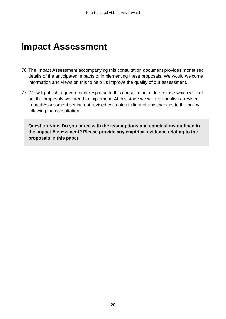### **Impact Assessment**

- 76.The Impact Assessment accompanying this consultation document provides monetised details of the anticipated impacts of implementing these proposals. We would welcome information and views on this to help us improve the quality of our assessment.
- 77.We will publish a government response to this consultation in due course which will set out the proposals we intend to implement. At this stage we will also publish a revised Impact Assessment setting out revised estimates in light of any changes to the policy following the consultation.

**Question Nine. Do you agree with the assumptions and conclusions outlined in the Impact Assessment? Please provide any empirical evidence relating to the proposals in this paper.**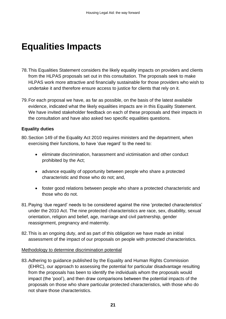## <span id="page-25-0"></span>**Equalities Impacts**

- 78.This Equalities Statement considers the likely equality impacts on providers and clients from the HLPAS proposals set out in this consultation. The proposals seek to make HLPAS work more attractive and financially sustainable for those providers who wish to undertake it and therefore ensure access to justice for clients that rely on it.
- 79.For each proposal we have, as far as possible, on the basis of the latest available evidence, indicated what the likely equalities impacts are in this Equality Statement. We have invited stakeholder feedback on each of these proposals and their impacts in the consultation and have also asked two specific equalities questions.

#### **Equality duties**

- 80.Section 149 of the Equality Act 2010 requires ministers and the department, when exercising their functions, to have 'due regard' to the need to:
	- eliminate discrimination, harassment and victimisation and other conduct prohibited by the Act;
	- advance equality of opportunity between people who share a protected characteristic and those who do not; and,
	- foster good relations between people who share a protected characteristic and those who do not.
- 81.Paying 'due regard' needs to be considered against the nine 'protected characteristics' under the 2010 Act. The nine protected characteristics are race, sex, disability, sexual orientation, religion and belief, age, marriage and civil partnership, gender reassignment, pregnancy and maternity.
- 82.This is an ongoing duty, and as part of this obligation we have made an initial assessment of the impact of our proposals on people with protected characteristics.

#### Methodology to determine discrimination potential

83.Adhering to guidance published by the Equality and Human Rights Commission (EHRC), our approach to assessing the potential for particular disadvantage resulting from the proposals has been to identify the individuals whom the proposals would impact (the 'pool'), and then draw comparisons between the potential impacts of the proposals on those who share particular protected characteristics, with those who do not share those characteristics.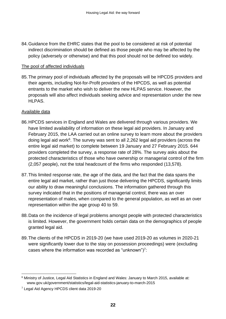84.Guidance from the EHRC states that the pool to be considered at risk of potential indirect discrimination should be defined as those people who may be affected by the policy (adversely or otherwise) and that this pool should not be defined too widely.

#### The pool of affected individuals

85.The primary pool of individuals affected by the proposals will be HPCDS providers and their agents, including Not-for-Profit providers of the HPCDS, as well as potential entrants to the market who wish to deliver the new HLPAS service. However, the proposals will also affect individuals seeking advice and representation under the new HLPAS.

#### Available data

- 86.HPCDS services in England and Wales are delivered through various providers. We have limited availability of information on these legal aid providers. In January and February 2015, the LAA carried out an online survey to learn more about the providers doing legal aid work<sup>6</sup>. The survey was sent to all 2,262 legal aid providers (across the entire legal aid market) to complete between 19 January and 27 February 2015. 644 providers completed the survey, a response rate of 28%. The survey asks about the protected characteristics of those who have ownership or managerial control of the firm (2,057 people), not the total headcount of the firms who responded (13,578).
- 87.This limited response rate, the age of the data, and the fact that the data spans the entire legal aid market, rather than just those delivering the HPCDS, significantly limits our ability to draw meaningful conclusions. The information gathered through this survey indicated that in the positions of managerial control, there was an over representation of males, when compared to the general population, as well as an over representation within the age group 40 to 59.
- 88.Data on the incidence of legal problems amongst people with protected characteristics is limited. However, the government holds certain data on the demographics of people granted legal aid.
- 89.The clients of the HPCDS in 2019-20 (we have used 2019-20 as volumes in 2020-21 were significantly lower due to the stay on possession proceedings) were (excluding cases where the information was recorded as "unknown")<sup>7</sup>:

 $\overline{a}$ <sup>6</sup> Ministry of Justice, Legal Aid Statistics in England and Wales: January to March 2015, available at: [www.gov.uk/government/statistics/legal-aid-statistics-january-to-march-2015](http://www.gov.uk/government/statistics/legal-aid-statistics-january-to-march-2015)

<sup>7</sup> Legal Aid Agency HPCDS client data 2019-20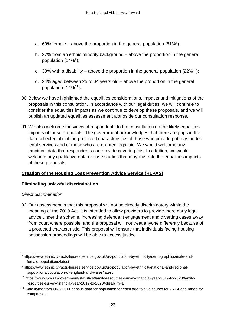- a. 60% female above the proportion in the general population  $(51\%)$ ;
- b. 27% from an ethnic minority background above the proportion in the general population (14%<sup>9</sup>);
- c. 30% with a disability above the proportion in the general population  $(22\%/10)$ :
- d. 24% aged between 25 to 34 years old above the proportion in the general population (14%<sup>11</sup>).
- 90.Below we have highlighted the equalities considerations, impacts and mitigations of the proposals in this consultation. In accordance with our legal duties, we will continue to consider the equalities impacts as we continue to develop these proposals, and we will publish an updated equalities assessment alongside our consultation response.
- 91.We also welcome the views of respondents to the consultation on the likely equalities impacts of these proposals. The government acknowledges that there are gaps in the data collected about the protected characteristics of those who provide publicly funded legal services and of those who are granted legal aid. We would welcome any empirical data that respondents can provide covering this. In addition, we would welcome any qualitative data or case studies that may illustrate the equalities impacts of these proposals.

#### **Creation of the Housing Loss Prevention Advice Service (HLPAS)**

#### **Eliminating unlawful discrimination**

#### *Direct discrimination*

92.Our assessment is that this proposal will not be directly discriminatory within the meaning of the 2010 Act. It is intended to allow providers to provide more early legal advice under the scheme, increasing defendant engagement and diverting cases away from court where possible, and the proposal will not treat anyone differently because of a protected characteristic. This proposal will ensure that individuals facing housing possession proceedings will be able to access justice.

 $\overline{a}$ <sup>8</sup> https://www.ethnicity-facts-figures.service.gov.uk/uk-population-by-ethnicity/demographics/male-andfemale-populations/latest

<sup>9</sup> https://www.ethnicity-facts-figures.service.gov.uk/uk-population-by-ethnicity/national-and-regionalpopulations/population-of-england-and-wales/latest

<sup>10</sup> https://www.gov.uk/government/statistics/family-resources-survey-financial-year-2019-to-2020/familyresources-survey-financial-year-2019-to-2020#disability-1

<sup>11</sup> Calculated from ONS 2011 census data for population for each age to give figures for 25-34 age range for comparison.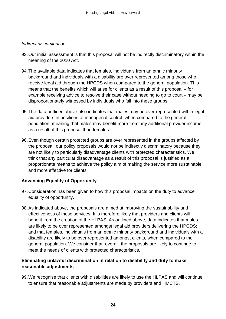#### *Indirect discrimination*

- 93.Our initial assessment is that this proposal will not be indirectly discriminatory within the meaning of the 2010 Act.
- 94.The available data indicates that females, individuals from an ethnic minority background and individuals with a disability are over represented among those who receive legal aid through the HPCDS when compared to the general population. This means that the benefits which will arise for clients as a result of this proposal – for example receiving advice to resolve their case without needing to go to court – may be disproportionately witnessed by individuals who fall into these groups.
- 95.The data outlined above also indicates that males may be over represented within legal aid providers in positions of managerial control, when compared to the general population, meaning that males may benefit more from any additional provider income as a result of this proposal than females.
- 96.Even though certain protected groups are over represented in the groups affected by the proposal, our policy proposals would not be indirectly discriminatory because they are not likely to particularly disadvantage clients with protected characteristics. We think that any particular disadvantage as a result of this proposal is justified as a proportionate means to achieve the policy aim of making the service more sustainable and more effective for clients.

#### **Advancing Equality of Opportunity**

- 97.Consideration has been given to how this proposal impacts on the duty to advance equality of opportunity.
- 98.As indicated above, the proposals are aimed at improving the sustainability and effectiveness of these services. It is therefore likely that providers and clients will benefit from the creation of the HLPAS. As outlined above, data indicates that males are likely to be over represented amongst legal aid providers delivering the HPCDS; and that females, individuals from an ethnic minority background and individuals with a disability are likely to be over represented amongst clients, when compared to the general population. We consider that, overall, the proposals are likely to continue to meet the needs of clients with protected characteristics.

#### **Eliminating unlawful discrimination in relation to disability and duty to make reasonable adjustments**

99.We recognise that clients with disabilities are likely to use the HLPAS and will continue to ensure that reasonable adjustments are made by providers and HMCTS.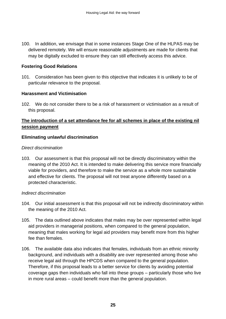100. In addition, we envisage that in some instances Stage One of the HLPAS may be delivered remotely. We will ensure reasonable adjustments are made for clients that may be digitally excluded to ensure they can still effectively access this advice.

#### **Fostering Good Relations**

101. Consideration has been given to this objective that indicates it is unlikely to be of particular relevance to the proposal.

#### **Harassment and Victimisation**

102. We do not consider there to be a risk of harassment or victimisation as a result of this proposal.

#### **The introduction of a set attendance fee for all schemes in place of the existing nil session payment**

#### **Eliminating unlawful discrimination**

#### *Direct discrimination*

103. Our assessment is that this proposal will not be directly discriminatory within the meaning of the 2010 Act. It is intended to make delivering this service more financially viable for providers, and therefore to make the service as a whole more sustainable and effective for clients. The proposal will not treat anyone differently based on a protected characteristic.

#### *Indirect discrimination*

- 104. Our initial assessment is that this proposal will not be indirectly discriminatory within the meaning of the 2010 Act.
- 105. The data outlined above indicates that males may be over represented within legal aid providers in managerial positions, when compared to the general population, meaning that males working for legal aid providers may benefit more from this higher fee than females.
- 106. The available data also indicates that females, individuals from an ethnic minority background, and individuals with a disability are over represented among those who receive legal aid through the HPCDS when compared to the general population. Therefore, if this proposal leads to a better service for clients by avoiding potential coverage gaps then individuals who fall into these groups – particularly those who live in more rural areas – could benefit more than the general population.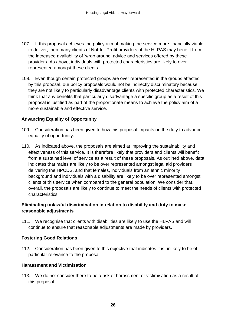- 107. If this proposal achieves the policy aim of making the service more financially viable to deliver, then many clients of Not-for-Profit providers of the HLPAS may benefit from the increased availability of 'wrap around' advice and services offered by these providers. As above, individuals with protected characteristics are likely to over represented amongst these clients.
- 108. Even though certain protected groups are over represented in the groups affected by this proposal, our policy proposals would not be indirectly discriminatory because they are not likely to particularly disadvantage clients with protected characteristics. We think that any benefits that particularly disadvantage a specific group as a result of this proposal is justified as part of the proportionate means to achieve the policy aim of a more sustainable and effective service.

#### **Advancing Equality of Opportunity**

- 109. Consideration has been given to how this proposal impacts on the duty to advance equality of opportunity.
- 110. As indicated above, the proposals are aimed at improving the sustainability and effectiveness of this service. It is therefore likely that providers and clients will benefit from a sustained level of service as a result of these proposals. As outlined above, data indicates that males are likely to be over represented amongst legal aid providers delivering the HPCDS, and that females, individuals from an ethnic minority background and individuals with a disability are likely to be over represented amongst clients of this service when compared to the general population. We consider that, overall, the proposals are likely to continue to meet the needs of clients with protected characteristics.

#### **Eliminating unlawful discrimination in relation to disability and duty to make reasonable adjustments**

111. We recognise that clients with disabilities are likely to use the HLPAS and will continue to ensure that reasonable adjustments are made by providers.

#### **Fostering Good Relations**

112. Consideration has been given to this objective that indicates it is unlikely to be of particular relevance to the proposal.

#### **Harassment and Victimisation**

113. We do not consider there to be a risk of harassment or victimisation as a result of this proposal.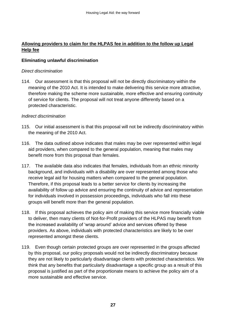#### **Allowing providers to claim for the HLPAS fee in addition to the follow up Legal Help fee**

#### **Eliminating unlawful discrimination**

#### *Direct discrimination*

114. Our assessment is that this proposal will not be directly discriminatory within the meaning of the 2010 Act. It is intended to make delivering this service more attractive, therefore making the scheme more sustainable, more effective and ensuring continuity of service for clients. The proposal will not treat anyone differently based on a protected characteristic.

#### *Indirect discrimination*

- 115. Our initial assessment is that this proposal will not be indirectly discriminatory within the meaning of the 2010 Act.
- 116. The data outlined above indicates that males may be over represented within legal aid providers, when compared to the general population, meaning that males may benefit more from this proposal than females.
- 117. The available data also indicates that females, individuals from an ethnic minority background, and individuals with a disability are over represented among those who receive legal aid for housing matters when compared to the general population. Therefore, if this proposal leads to a better service for clients by increasing the availability of follow up advice and ensuring the continuity of advice and representation for individuals involved in possession proceedings, individuals who fall into these groups will benefit more than the general population.
- 118. If this proposal achieves the policy aim of making this service more financially viable to deliver, then many clients of Not-for-Profit providers of the HLPAS may benefit from the increased availability of 'wrap around' advice and services offered by these providers. As above, individuals with protected characteristics are likely to be over represented amongst these clients.
- 119. Even though certain protected groups are over represented in the groups affected by this proposal, our policy proposals would not be indirectly discriminatory because they are not likely to particularly disadvantage clients with protected characteristics. We think that any benefits that particularly disadvantage a specific group as a result of this proposal is justified as part of the proportionate means to achieve the policy aim of a more sustainable and effective service.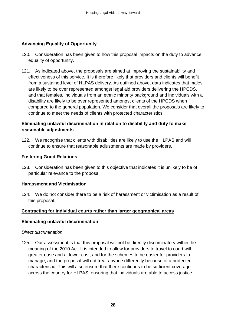#### **Advancing Equality of Opportunity**

- 120. Consideration has been given to how this proposal impacts on the duty to advance equality of opportunity.
- 121. As indicated above, the proposals are aimed at improving the sustainability and effectiveness of this service. It is therefore likely that providers and clients will benefit from a sustained level of HLPAS delivery. As outlined above, data indicates that males are likely to be over represented amongst legal aid providers delivering the HPCDS, and that females, individuals from an ethnic minority background and individuals with a disability are likely to be over represented amongst clients of the HPCDS when compared to the general population. We consider that overall the proposals are likely to continue to meet the needs of clients with protected characteristics.

#### **Eliminating unlawful discrimination in relation to disability and duty to make reasonable adjustments**

122. We recognise that clients with disabilities are likely to use the HLPAS and will continue to ensure that reasonable adjustments are made by providers.

#### **Fostering Good Relations**

123. Consideration has been given to this objective that indicates it is unlikely to be of particular relevance to the proposal.

#### **Harassment and Victimisation**

124. We do not consider there to be a risk of harassment or victimisation as a result of this proposal.

#### **Contracting for individual courts rather than larger geographical areas**

#### **Eliminating unlawful discrimination**

#### *Direct discrimination*

125. Our assessment is that this proposal will not be directly discriminatory within the meaning of the 2010 Act. It is intended to allow for providers to travel to court with greater ease and at lower cost, and for the schemes to be easier for providers to manage, and the proposal will not treat anyone differently because of a protected characteristic. This will also ensure that there continues to be sufficient coverage across the country for HLPAS, ensuring that individuals are able to access justice.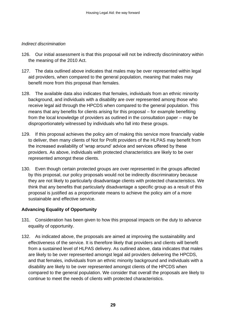#### *Indirect discrimination*

- 126. Our initial assessment is that this proposal will not be indirectly discriminatory within the meaning of the 2010 Act.
- 127. The data outlined above indicates that males may be over represented within legal aid providers, when compared to the general population, meaning that males may benefit more from this proposal than females.
- 128. The available data also indicates that females, individuals from an ethnic minority background, and individuals with a disability are over represented among those who receive legal aid through the HPCDS when compared to the general population. This means that any benefits for clients arising for this proposal – for example benefiting from the local knowledge of providers as outlined in the consultation paper – may be disproportionately witnessed by individuals who fall into these groups.
- 129. If this proposal achieves the policy aim of making this service more financially viable to deliver, then many clients of Not for Profit providers of the HLPAS may benefit from the increased availability of 'wrap around' advice and services offered by these providers. As above, individuals with protected characteristics are likely to be over represented amongst these clients.
- 130. Even though certain protected groups are over represented in the groups affected by this proposal, our policy proposals would not be indirectly discriminatory because they are not likely to particularly disadvantage clients with protected characteristics. We think that any benefits that particularly disadvantage a specific group as a result of this proposal is justified as a proportionate means to achieve the policy aim of a more sustainable and effective service.

#### **Advancing Equality of Opportunity**

- 131. Consideration has been given to how this proposal impacts on the duty to advance equality of opportunity.
- 132. As indicated above, the proposals are aimed at improving the sustainability and effectiveness of the service. It is therefore likely that providers and clients will benefit from a sustained level of HLPAS delivery. As outlined above, data indicates that males are likely to be over represented amongst legal aid providers delivering the HPCDS, and that females, individuals from an ethnic minority background and individuals with a disability are likely to be over represented amongst clients of the HPCDS when compared to the general population. We consider that overall the proposals are likely to continue to meet the needs of clients with protected characteristics.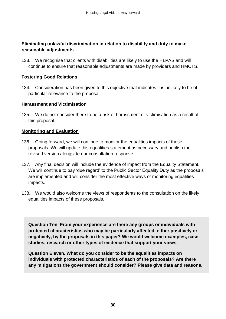#### **Eliminating unlawful discrimination in relation to disability and duty to make reasonable adjustments**

133. We recognise that clients with disabilities are likely to use the HLPAS and will continue to ensure that reasonable adjustments are made by providers and HMCTS.

#### **Fostering Good Relations**

134. Consideration has been given to this objective that indicates it is unlikely to be of particular relevance to the proposal.

#### **Harassment and Victimisation**

135. We do not consider there to be a risk of harassment or victimisation as a result of this proposal.

#### **Monitoring and Evaluation**

- 136. Going forward, we will continue to monitor the equalities impacts of these proposals. We will update this equalities statement as necessary and publish the revised version alongside our consultation response.
- 137. Any final decision will include the evidence of impact from the Equality Statement. We will continue to pay 'due regard' to the Public Sector Equality Duty as the proposals are implemented and will consider the most effective ways of monitoring equalities impacts.
- 138. We would also welcome the views of respondents to the consultation on the likely equalities impacts of these proposals.

**Question Ten. From your experience are there any groups or individuals with protected characteristics who may be particularly affected, either positively or negatively, by the proposals in this paper? We would welcome examples, case studies, research or other types of evidence that support your views.**

**Question Eleven. What do you consider to be the equalities impacts on individuals with protected characteristics of each of the proposals? Are there any mitigations the government should consider? Please give data and reasons.**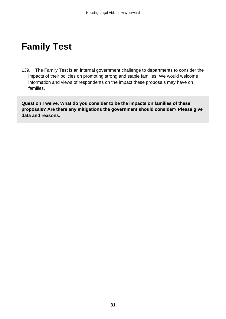## <span id="page-35-0"></span>**Family Test**

139. The Family Test is an internal government challenge to departments to consider the impacts of their policies on promoting strong and stable families. We would welcome information and views of respondents on the impact these proposals may have on families.

**Question Twelve. What do you consider to be the impacts on families of these proposals? Are there any mitigations the government should consider? Please give data and reasons.**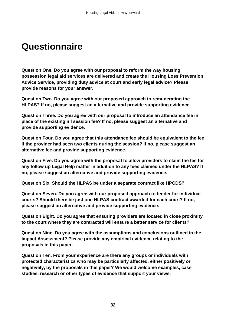### <span id="page-36-0"></span>**Questionnaire**

**Question One. Do you agree with our proposal to reform the way housing possession legal aid services are delivered and create the Housing Loss Prevention Advice Service, providing duty advice at court and early legal advice? Please provide reasons for your answer.**

**Question Two. Do you agree with our proposed approach to remunerating the HLPAS? If no, please suggest an alternative and provide supporting evidence.**

**Question Three. Do you agree with our proposal to introduce an attendance fee in place of the existing nil session fee? If no, please suggest an alternative and provide supporting evidence.**

**Question Four. Do you agree that this attendance fee should be equivalent to the fee if the provider had seen two clients during the session? If no, please suggest an alternative fee and provide supporting evidence.**

**Question Five. Do you agree with the proposal to allow providers to claim the fee for any follow up Legal Help matter in addition to any fees claimed under the HLPAS? If no, please suggest an alternative and provide supporting evidence.**

**Question Six. Should the HLPAS be under a separate contract like HPCDS?**

**Question Seven. Do you agree with our proposed approach to tender for individual courts? Should there be just one HLPAS contract awarded for each court? If no, please suggest an alternative and provide supporting evidence.**

**Question Eight. Do you agree that ensuring providers are located in close proximity to the court where they are contracted will ensure a better service for clients?**

**Question Nine. Do you agree with the assumptions and conclusions outlined in the Impact Assessment? Please provide any empirical evidence relating to the proposals in this paper.**

**Question Ten. From your experience are there any groups or individuals with protected characteristics who may be particularly affected, either positively or negatively, by the proposals in this paper? We would welcome examples, case studies, research or other types of evidence that support your views.**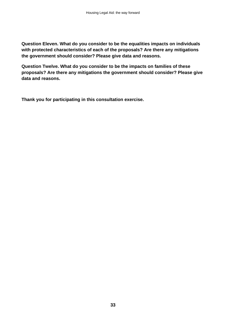**Question Eleven. What do you consider to be the equalities impacts on individuals with protected characteristics of each of the proposals? Are there any mitigations the government should consider? Please give data and reasons.** 

**Question Twelve. What do you consider to be the impacts on families of these proposals? Are there any mitigations the government should consider? Please give data and reasons.** 

**Thank you for participating in this consultation exercise.**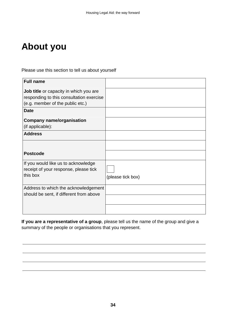## <span id="page-38-0"></span>**About you**

Please use this section to tell us about yourself

| <b>Full name</b>                                                             |                   |
|------------------------------------------------------------------------------|-------------------|
| Job title or capacity in which you are                                       |                   |
| responding to this consultation exercise<br>(e.g. member of the public etc.) |                   |
| <b>Date</b>                                                                  |                   |
| <b>Company name/organisation</b>                                             |                   |
| (if applicable):                                                             |                   |
| <b>Address</b>                                                               |                   |
|                                                                              |                   |
| <b>Postcode</b>                                                              |                   |
| If you would like us to acknowledge                                          |                   |
| receipt of your response, please tick                                        |                   |
| this box                                                                     | (please tick box) |
| Address to which the acknowledgement                                         |                   |
| should be sent, if different from above                                      |                   |
|                                                                              |                   |
|                                                                              |                   |

**If you are a representative of a group**, please tell us the name of the group and give a summary of the people or organisations that you represent.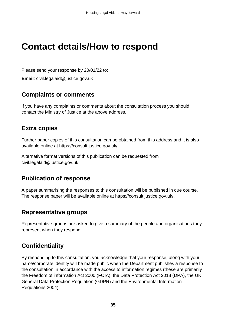## <span id="page-39-0"></span>**Contact details/How to respond**

Please send your response by 20/01/22 to:

**Email**: civil.legalaid@justice.gov.uk

### <span id="page-39-1"></span>**Complaints or comments**

If you have any complaints or comments about the consultation process you should contact the Ministry of Justice at the above address.

### <span id="page-39-2"></span>**Extra copies**

Further paper copies of this consultation can be obtained from this address and it is also available online at [https://consult.justice.gov.uk/.](https://consult.justice.gov.uk/)

Alternative format versions of this publication can be requested from civil.legalaid@justice.gov.uk.

### <span id="page-39-3"></span>**Publication of response**

A paper summarising the responses to this consultation will be published in due course. The response paper will be available online at [https://consult.justice.gov.uk/.](https://consult.justice.gov.uk/)

### <span id="page-39-4"></span>**Representative groups**

Representative groups are asked to give a summary of the people and organisations they represent when they respond.

### <span id="page-39-5"></span>**Confidentiality**

By responding to this consultation, you acknowledge that your response, along with your name/corporate identity will be made public when the Department publishes a response to the consultation in accordance with the access to information regimes (these are primarily the Freedom of information Act 2000 (FOIA), the Data Protection Act 2018 (DPA), the UK General Data Protection Regulation (GDPR) and the Environmental Information Regulations 2004).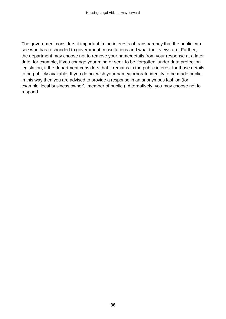The government considers it important in the interests of transparency that the public can see who has responded to government consultations and what their views are. Further, the department may choose not to remove your name/details from your response at a later date, for example, if you change your mind or seek to be 'forgotten' under data protection legislation, if the department considers that it remains in the public interest for those details to be publicly available. If you do not wish your name/corporate identity to be made public in this way then you are advised to provide a response in an anonymous fashion (for example 'local business owner', 'member of public'). Alternatively, you may choose not to respond.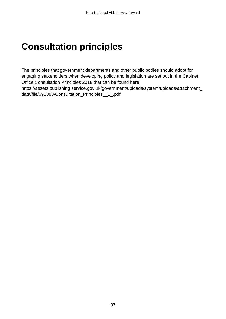## <span id="page-41-0"></span>**Consultation principles**

The principles that government departments and other public bodies should adopt for engaging stakeholders when developing policy and legislation are set out in the Cabinet Office Consultation Principles 2018 that can be found here:

[https://assets.publishing.service.gov.uk/government/uploads/system/uploads/attachment\\_](https://assets.publishing.service.gov.uk/government/uploads/system/uploads/attachment_data/file/691383/Consultation_Principles__1_.pdf) [data/file/691383/Consultation\\_Principles\\_\\_1\\_.pdf](https://assets.publishing.service.gov.uk/government/uploads/system/uploads/attachment_data/file/691383/Consultation_Principles__1_.pdf)